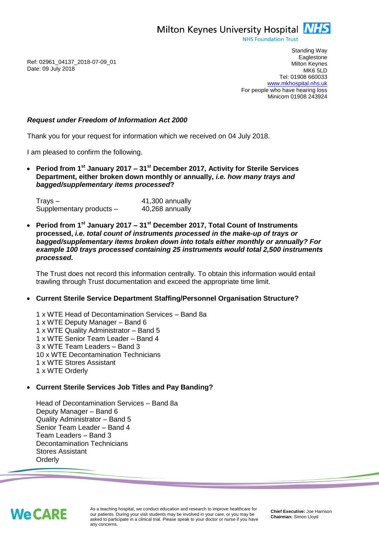Milton Keynes University Hospital **NHS** 

**NHS Foundation Trust** 

Ref: 02961\_04137\_2018-07-09\_01 Date: 09 July 2018

Standing Way **Eaglestone** Milton Keynes MK6 5LD Tel: 01908 660033 [www.mkhospital.nhs.uk](http://www.mkhospital.nhs.uk/) For people who have hearing loss Minicom 01908 243924

## *Request under Freedom of Information Act 2000*

Thank you for your request for information which we received on 04 July 2018.

I am pleased to confirm the following.

 **Period from 1st January 2017 – 31st December 2017, Activity for Sterile Services Department, either broken down monthly or annually,** *i.e. how many trays and bagged/supplementary items processed***?**

Trays – 41,300 annually Supplementary products – 40,268 annually

 **Period from 1st January 2017 – 31st December 2017, Total Count of Instruments processed,** *i.e. total count of instruments processed in the make-up of trays or bagged/supplementary items broken down into totals either monthly or annually? For example 100 trays processed containing 25 instruments would total 2,500 instruments processed.*

The Trust does not record this information centrally. To obtain this information would entail trawling through Trust documentation and exceed the appropriate time limit.

## **Current Sterile Service Department Staffing/Personnel Organisation Structure?**

1 x WTE Head of Decontamination Services – Band 8a 1 x WTE Deputy Manager – Band 6 1 x WTE Quality Administrator – Band 5 1 x WTE Senior Team Leader – Band 4 3 x WTE Team Leaders – Band 3 10 x WTE Decontamination Technicians 1 x WTE Stores Assistant 1 x WTE Orderly

### **Current Sterile Services Job Titles and Pay Banding?**

Head of Decontamination Services – Band 8a Deputy Manager – Band 6 Quality Administrator – Band 5 Senior Team Leader – Band 4 Team Leaders – Band 3 Decontamination Technicians Stores Assistant **Orderly** 



As a teaching hospital, we conduct education and research to improve healthcare for our patients. During your visit students may be involved in your care, or you may be asked to participate in a clinical trial. Please speak to your doctor or nurse if you have any concerns.

**Chief Executive:** Joe Harrison **Chairman:** Simon Lloyd